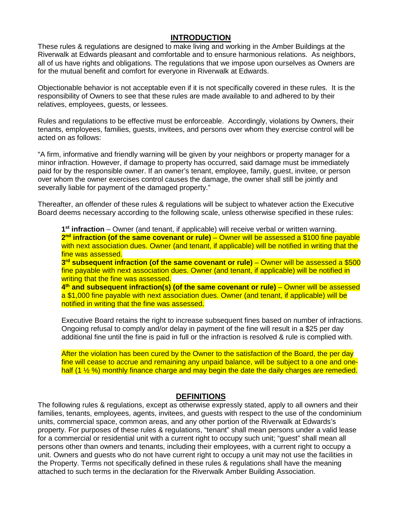# **INTRODUCTION**

These rules & regulations are designed to make living and working in the Amber Buildings at the Riverwalk at Edwards pleasant and comfortable and to ensure harmonious relations. As neighbors, all of us have rights and obligations. The regulations that we impose upon ourselves as Owners are for the mutual benefit and comfort for everyone in Riverwalk at Edwards.

Objectionable behavior is not acceptable even if it is not specifically covered in these rules. It is the responsibility of Owners to see that these rules are made available to and adhered to by their relatives, employees, guests, or lessees.

Rules and regulations to be effective must be enforceable. Accordingly, violations by Owners, their tenants, employees, families, guests, invitees, and persons over whom they exercise control will be acted on as follows:

"A firm, informative and friendly warning will be given by your neighbors or property manager for a minor infraction. However, if damage to property has occurred, said damage must be immediately paid for by the responsible owner. If an owner's tenant, employee, family, guest, invitee, or person over whom the owner exercises control causes the damage, the owner shall still be jointly and severally liable for payment of the damaged property."

Thereafter, an offender of these rules & regulations will be subject to whatever action the Executive Board deems necessary according to the following scale, unless otherwise specified in these rules:

**1st infraction** – Owner (and tenant, if applicable) will receive verbal or written warning. 2<sup>nd</sup> **infraction (of the same covenant or rule)** – Owner will be assessed a \$100 fine payable with next association dues. Owner (and tenant, if applicable) will be notified in writing that the fine was assessed.

**3rd subsequent infraction (of the same covenant or rule)** – Owner will be assessed a \$500 fine payable with next association dues. Owner (and tenant, if applicable) will be notified in writing that the fine was assessed.

**4th and subsequent infraction(s) (of the same covenant or rule)** – Owner will be assessed a \$1,000 fine payable with next association dues. Owner (and tenant, if applicable) will be notified in writing that the fine was assessed.

Executive Board retains the right to increase subsequent fines based on number of infractions. Ongoing refusal to comply and/or delay in payment of the fine will result in a \$25 per day additional fine until the fine is paid in full or the infraction is resolved & rule is complied with.

After the violation has been cured by the Owner to the satisfaction of the Board, the per day fine will cease to accrue and remaining any unpaid balance, will be subject to a one and onehalf (1 % %) monthly finance charge and may begin the date the daily charges are remedied.

#### **DEFINITIONS**

The following rules & regulations, except as otherwise expressly stated, apply to all owners and their families, tenants, employees, agents, invitees, and guests with respect to the use of the condominium units, commercial space, common areas, and any other portion of the Riverwalk at Edwards's property. For purposes of these rules & regulations, "tenant" shall mean persons under a valid lease for a commercial or residential unit with a current right to occupy such unit; "guest" shall mean all persons other than owners and tenants, including their employees, with a current right to occupy a unit. Owners and guests who do not have current right to occupy a unit may not use the facilities in the Property. Terms not specifically defined in these rules & regulations shall have the meaning attached to such terms in the declaration for the Riverwalk Amber Building Association.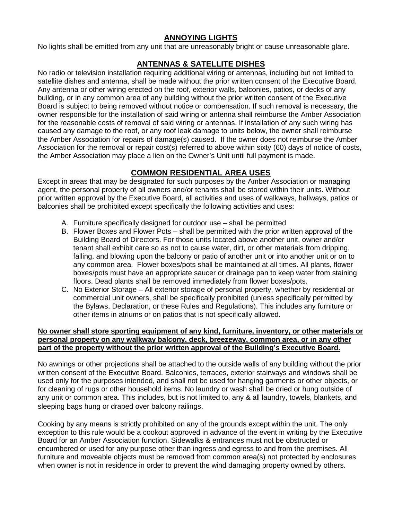# **ANNOYING LIGHTS**

No lights shall be emitted from any unit that are unreasonably bright or cause unreasonable glare.

### **ANTENNAS & SATELLITE DISHES**

No radio or television installation requiring additional wiring or antennas, including but not limited to satellite dishes and antenna, shall be made without the prior written consent of the Executive Board. Any antenna or other wiring erected on the roof, exterior walls, balconies, patios, or decks of any building, or in any common area of any building without the prior written consent of the Executive Board is subject to being removed without notice or compensation. If such removal is necessary, the owner responsible for the installation of said wiring or antenna shall reimburse the Amber Association for the reasonable costs of removal of said wiring or antennas. If installation of any such wiring has caused any damage to the roof, or any roof leak damage to units below, the owner shall reimburse the Amber Association for repairs of damage(s) caused. If the owner does not reimburse the Amber Association for the removal or repair cost(s) referred to above within sixty (60) days of notice of costs, the Amber Association may place a lien on the Owner's Unit until full payment is made.

# **COMMON RESIDENTIAL AREA USES**

Except in areas that may be designated for such purposes by the Amber Association or managing agent, the personal property of all owners and/or tenants shall be stored within their units. Without prior written approval by the Executive Board, all activities and uses of walkways, hallways, patios or balconies shall be prohibited except specifically the following activities and uses:

- A. Furniture specifically designed for outdoor use shall be permitted
- B. Flower Boxes and Flower Pots shall be permitted with the prior written approval of the Building Board of Directors. For those units located above another unit, owner and/or tenant shall exhibit care so as not to cause water, dirt, or other materials from dripping, falling, and blowing upon the balcony or patio of another unit or into another unit or on to any common area. Flower boxes/pots shall be maintained at all times. All plants, flower boxes/pots must have an appropriate saucer or drainage pan to keep water from staining floors. Dead plants shall be removed immediately from flower boxes/pots.
- C. No Exterior Storage All exterior storage of personal property, whether by residential or commercial unit owners, shall be specifically prohibited (unless specifically permitted by the Bylaws, Declaration, or these Rules and Regulations). This includes any furniture or other items in atriums or on patios that is not specifically allowed.

#### **No owner shall store sporting equipment of any kind, furniture, inventory, or other materials or personal property on any walkway balcony, deck, breezeway, common area, or in any other part of the property without the prior written approval of the Building's Executive Board.**

No awnings or other projections shall be attached to the outside walls of any building without the prior written consent of the Executive Board. Balconies, terraces, exterior stairways and windows shall be used only for the purposes intended, and shall not be used for hanging garments or other objects, or for cleaning of rugs or other household items. No laundry or wash shall be dried or hung outside of any unit or common area. This includes, but is not limited to, any & all laundry, towels, blankets, and sleeping bags hung or draped over balcony railings.

Cooking by any means is strictly prohibited on any of the grounds except within the unit. The only exception to this rule would be a cookout approved in advance of the event in writing by the Executive Board for an Amber Association function. Sidewalks & entrances must not be obstructed or encumbered or used for any purpose other than ingress and egress to and from the premises. All furniture and moveable objects must be removed from common area(s) not protected by enclosures when owner is not in residence in order to prevent the wind damaging property owned by others.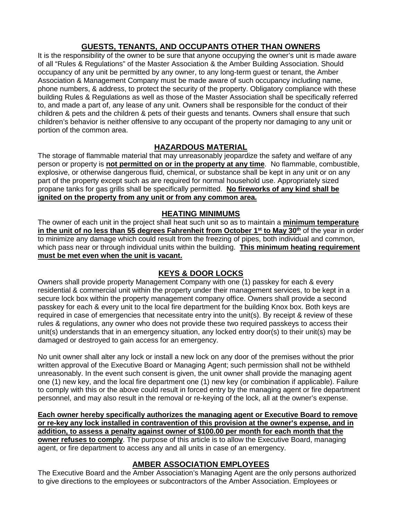# **GUESTS, TENANTS, AND OCCUPANTS OTHER THAN OWNERS**

It is the responsibility of the owner to be sure that anyone occupying the owner's unit is made aware of all "Rules & Regulations" of the Master Association & the Amber Building Association. Should occupancy of any unit be permitted by any owner, to any long-term guest or tenant, the Amber Association & Management Company must be made aware of such occupancy including name, phone numbers, & address, to protect the security of the property. Obligatory compliance with these building Rules & Regulations as well as those of the Master Association shall be specifically referred to, and made a part of, any lease of any unit. Owners shall be responsible for the conduct of their children & pets and the children & pets of their guests and tenants. Owners shall ensure that such children's behavior is neither offensive to any occupant of the property nor damaging to any unit or portion of the common area.

# **HAZARDOUS MATERIAL**

The storage of flammable material that may unreasonably jeopardize the safety and welfare of any person or property is **not permitted on or in the property at any time**. No flammable, combustible, explosive, or otherwise dangerous fluid, chemical, or substance shall be kept in any unit or on any part of the property except such as are required for normal household use. Appropriately sized propane tanks for gas grills shall be specifically permitted. **No fireworks of any kind shall be ignited on the property from any unit or from any common area.**

# **HEATING MINIMUMS**

The owner of each unit in the project shall heat such unit so as to maintain a **minimum temperature in the unit of no less than 55 degrees Fahrenheit from October 1<sup>st</sup> to May 30<sup>th</sup> of the year in order** to minimize any damage which could result from the freezing of pipes, both individual and common, which pass near or through individual units within the building. **This minimum heating requirement must be met even when the unit is vacant.** 

# **KEYS & DOOR LOCKS**

Owners shall provide property Management Company with one (1) passkey for each & every residential & commercial unit within the property under their management services, to be kept in a secure lock box within the property management company office. Owners shall provide a second passkey for each & every unit to the local fire department for the building Knox box. Both keys are required in case of emergencies that necessitate entry into the unit(s). By receipt & review of these rules & regulations, any owner who does not provide these two required passkeys to access their unit(s) understands that in an emergency situation, any locked entry door(s) to their unit(s) may be damaged or destroyed to gain access for an emergency.

No unit owner shall alter any lock or install a new lock on any door of the premises without the prior written approval of the Executive Board or Managing Agent; such permission shall not be withheld unreasonably. In the event such consent is given, the unit owner shall provide the managing agent one (1) new key, and the local fire department one (1) new key (or combination if applicable). Failure to comply with this or the above could result in forced entry by the managing agent or fire department personnel, and may also result in the removal or re-keying of the lock, all at the owner's expense.

**Each owner hereby specifically authorizes the managing agent or Executive Board to remove or re-key any lock installed in contravention of this provision at the owner's expense, and in addition, to assess a penalty against owner of \$100.00 per month for each month that the owner refuses to comply**. The purpose of this article is to allow the Executive Board, managing agent, or fire department to access any and all units in case of an emergency.

# **AMBER ASSOCIATION EMPLOYEES**

The Executive Board and the Amber Association's Managing Agent are the only persons authorized to give directions to the employees or subcontractors of the Amber Association. Employees or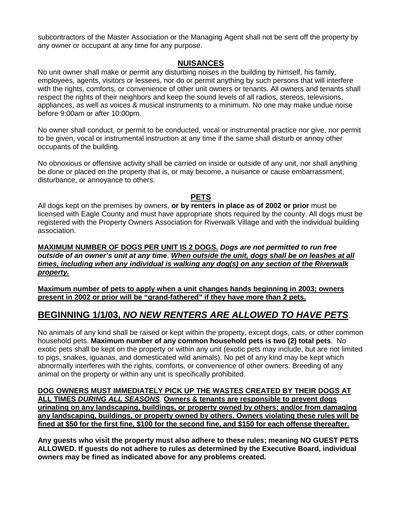subcontractors of the Master Association or the Managing Agent shall not be sent off the property by any owner or occupant at any time for any purpose.

### **NUISANCES**

No unit owner shall make or permit any disturbing noises in the building by himself, his family, employees, agents, visitors or lessees, nor do or permit anything by such persons that will interfere with the rights, comforts, or convenience of other unit owners or tenants. All owners and tenants shall respect the rights of their neighbors and keep the sound levels of all radios, stereos, televisions, appliances, as well as voices & musical instruments to a minimum. No one may make undue noise before 9:00am or after 10:00pm.

No owner shall conduct, or permit to be conducted, vocal or instrumental practice nor give, nor permit to be given, vocal or instrumental instruction at any time if the same shall disturb or annoy other occupants of the building.

No obnoxious or offensive activity shall be carried on inside or outside of any unit, nor shall anything be done or placed on the property that is, or may become, a nuisance or cause embarrassment, disturbance, or annoyance to others.

### **PETS**

All dogs kept on the premises by owners, **or by renters in place as of 2002 or prior** must be licensed with Eagle County and must have appropriate shots required by the county. All dogs must be registered with the Property Owners Association for Riverwalk Village and with the individual building association.

**MAXIMUM NUMBER OF DOGS PER UNIT IS 2 DOGS.** *Dogs are not permitted to run free outside of an owner's unit at any time*. *When outside the unit, dogs shall be on leashes at all times***,** *including when any individual is walking any dog(s) on any section of the Riverwalk property.* 

**Maximum number of pets to apply when a unit changes hands beginning in 2003; owners present in 2002 or prior will be "grand-fathered" if they have more than 2 pets.** 

# **BEGINNING 1/1/03,** *NO NEW RENTERS ARE ALLOWED TO HAVE PETS*.

No animals of any kind shall be raised or kept within the property, except dogs, cats, or other common household pets. **Maximum number of any common household pets is two (2) total pets**. No exotic pets shall be kept on the property or within any unit (exotic pets may include, but are not limited to pigs, snakes, iguanas, and domesticated wild animals). No pet of any kind may be kept which abnormally interferes with the rights, comforts, or convenience of other owners. Breeding of any animal on the property or within any unit is specifically prohibited.

**DOG OWNERS MUST IMMEDIATELY PICK UP THE WASTES CREATED BY THEIR DOGS AT ALL TIMES** *DURING ALL SEASONS*. **Owners & tenants are responsible to prevent dogs urinating on any landscaping, buildings, or property owned by others; and/or from damaging any landscaping, buildings, or property owned by others. Owners violating these rules will be fined at \$50 for the first fine, \$100 for the second fine, and \$150 for each offense thereafter.**

**Any guests who visit the property must also adhere to these rules; meaning NO GUEST PETS ALLOWED. If guests do not adhere to rules as determined by the Executive Board, individual owners may be fined as indicated above for any problems created.**